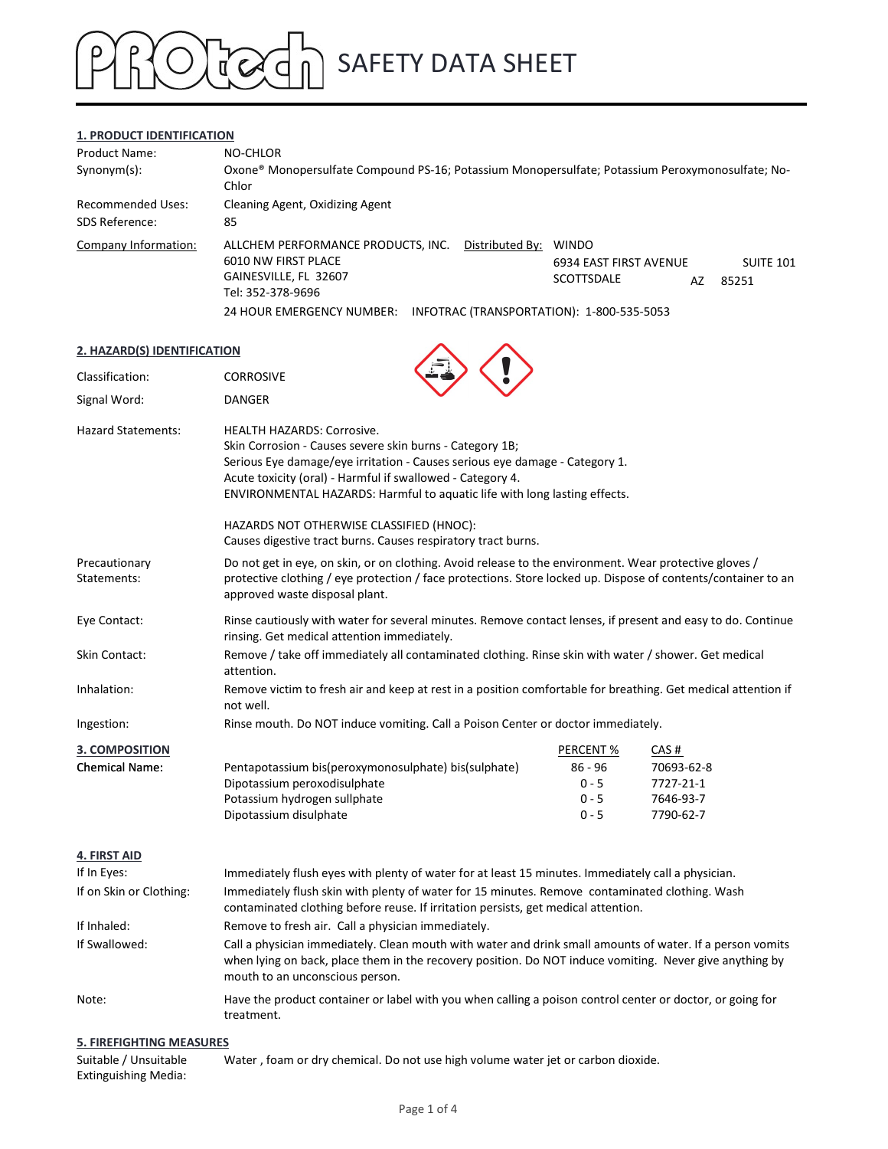## SAFETY DATA SHEET TOTO

### 1. PRODUCT IDENTIFICATION

|                                                          | <b>SAFETY DATA SHEET</b>                                                                                |                                                                                                  |
|----------------------------------------------------------|---------------------------------------------------------------------------------------------------------|--------------------------------------------------------------------------------------------------|
|                                                          |                                                                                                         |                                                                                                  |
|                                                          |                                                                                                         |                                                                                                  |
|                                                          |                                                                                                         |                                                                                                  |
|                                                          |                                                                                                         |                                                                                                  |
| <b>1. PRODUCT IDENTIFICATION</b><br><b>Product Name:</b> | NO-CHLOR                                                                                                |                                                                                                  |
| Synonym(s):                                              | Chlor                                                                                                   | Oxone® Monopersulfate Compound PS-16; Potassium Monopersulfate; Potassium Peroxymonosulfate; No- |
| <b>Recommended Uses:</b>                                 | Cleaning Agent, Oxidizing Agent                                                                         |                                                                                                  |
| SDS Reference:                                           | 85                                                                                                      |                                                                                                  |
| Company Information:                                     | ALLCHEM PERFORMANCE PRODUCTS, INC.<br>6010 NW FIRST PLACE<br>GAINESVILLE, FL 32607<br>Tel: 352-378-9696 | Distributed By: WINDO<br><b>SUITE 101</b><br>6934 EAST FIRST AVENUE<br>SCOTTSDALE<br>AZ<br>85251 |

### 2. HAZARD(S) IDENTIFICATION

| Classification:                        | <b>CORROSIVE</b>                                                                                                                                                                                                                                                                                                        |                                            |                                                   |  |  |
|----------------------------------------|-------------------------------------------------------------------------------------------------------------------------------------------------------------------------------------------------------------------------------------------------------------------------------------------------------------------------|--------------------------------------------|---------------------------------------------------|--|--|
| Signal Word:                           | <b>DANGER</b>                                                                                                                                                                                                                                                                                                           |                                            |                                                   |  |  |
| <b>Hazard Statements:</b>              | <b>HEALTH HAZARDS: Corrosive.</b><br>Skin Corrosion - Causes severe skin burns - Category 1B;<br>Serious Eye damage/eye irritation - Causes serious eye damage - Category 1.<br>Acute toxicity (oral) - Harmful if swallowed - Category 4.<br>ENVIRONMENTAL HAZARDS: Harmful to aquatic life with long lasting effects. |                                            |                                                   |  |  |
|                                        | HAZARDS NOT OTHERWISE CLASSIFIED (HNOC):<br>Causes digestive tract burns. Causes respiratory tract burns.                                                                                                                                                                                                               |                                            |                                                   |  |  |
| Precautionary<br>Statements:           | Do not get in eye, on skin, or on clothing. Avoid release to the environment. Wear protective gloves /<br>protective clothing / eye protection / face protections. Store locked up. Dispose of contents/container to an<br>approved waste disposal plant.                                                               |                                            |                                                   |  |  |
| Eye Contact:                           | Rinse cautiously with water for several minutes. Remove contact lenses, if present and easy to do. Continue<br>rinsing. Get medical attention immediately.                                                                                                                                                              |                                            |                                                   |  |  |
| Skin Contact:                          | Remove / take off immediately all contaminated clothing. Rinse skin with water / shower. Get medical<br>attention.                                                                                                                                                                                                      |                                            |                                                   |  |  |
| Inhalation:                            | Remove victim to fresh air and keep at rest in a position comfortable for breathing. Get medical attention if<br>not well.                                                                                                                                                                                              |                                            |                                                   |  |  |
| Ingestion:                             | Rinse mouth. Do NOT induce vomiting. Call a Poison Center or doctor immediately.                                                                                                                                                                                                                                        |                                            |                                                   |  |  |
| <b>3. COMPOSITION</b>                  |                                                                                                                                                                                                                                                                                                                         | PERCENT %                                  | CAS#                                              |  |  |
| <b>Chemical Name:</b>                  | Pentapotassium bis(peroxymonosulphate) bis(sulphate)<br>Dipotassium peroxodisulphate<br>Potassium hydrogen sullphate<br>Dipotassium disulphate                                                                                                                                                                          | $86 - 96$<br>$0 - 5$<br>$0 - 5$<br>$0 - 5$ | 70693-62-8<br>7727-21-1<br>7646-93-7<br>7790-62-7 |  |  |
| 4. FIRST AID                           |                                                                                                                                                                                                                                                                                                                         |                                            |                                                   |  |  |
| If In Eyes:<br>If on Skin or Clothing: | Immediately flush eyes with plenty of water for at least 15 minutes. Immediately call a physician.<br>Immediately flush skin with plenty of water for 15 minutes. Remove contaminated clothing. Wash<br>contaminated clothing before reuse. If irritation persists, get medical attention.                              |                                            |                                                   |  |  |
| If Inhaled:                            | Remove to fresh air. Call a physician immediately.                                                                                                                                                                                                                                                                      |                                            |                                                   |  |  |
| If Swallowed:                          | Call a physician immediately. Clean mouth with water and drink small amounts of water. If a person vomits<br>when lying on back, place them in the recovery position. Do NOT induce vomiting. Never give anything by<br>mouth to an unconscious person.                                                                 |                                            |                                                   |  |  |
| Note:                                  | Have the product container or label with you when calling a poison control center or doctor, or going for<br>treatment.                                                                                                                                                                                                 |                                            |                                                   |  |  |

### 5. FIREFIGHTING MEASURES

| Suitable / Unsuitable       | Water, foam or dry chemical. Do not use high volume water jet or carbon dioxide. |
|-----------------------------|----------------------------------------------------------------------------------|
| <b>Extinguishing Media:</b> |                                                                                  |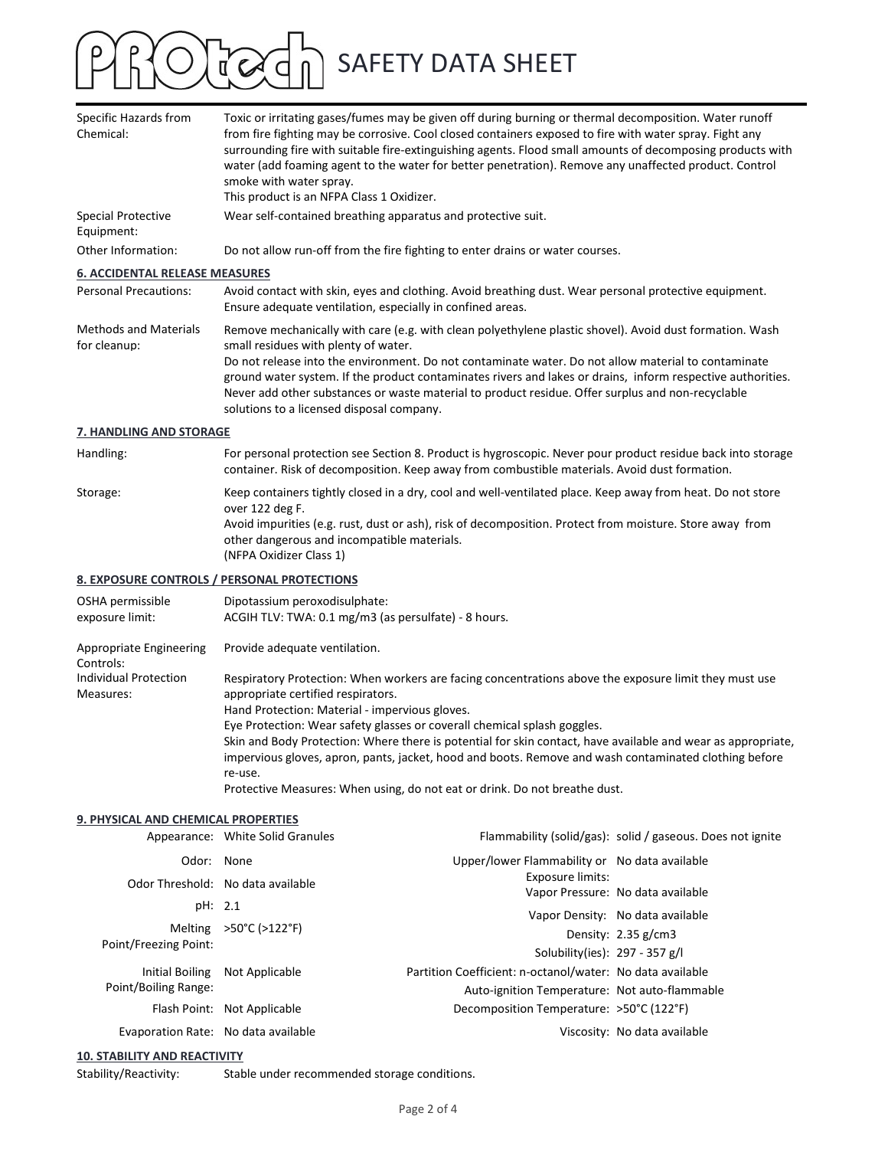# OF OF A SAFETY DATA SHEET

| Specific Hazards from<br>Chemical:           | Toxic or irritating gases/fumes may be given off during burning or thermal decomposition. Water runoff<br>from fire fighting may be corrosive. Cool closed containers exposed to fire with water spray. Fight any<br>surrounding fire with suitable fire-extinguishing agents. Flood small amounts of decomposing products with<br>water (add foaming agent to the water for better penetration). Remove any unaffected product. Control<br>smoke with water spray.<br>This product is an NFPA Class 1 Oxidizer.        |
|----------------------------------------------|-------------------------------------------------------------------------------------------------------------------------------------------------------------------------------------------------------------------------------------------------------------------------------------------------------------------------------------------------------------------------------------------------------------------------------------------------------------------------------------------------------------------------|
| <b>Special Protective</b><br>Equipment:      | Wear self-contained breathing apparatus and protective suit.                                                                                                                                                                                                                                                                                                                                                                                                                                                            |
| Other Information:                           | Do not allow run-off from the fire fighting to enter drains or water courses.                                                                                                                                                                                                                                                                                                                                                                                                                                           |
| <b>6. ACCIDENTAL RELEASE MEASURES</b>        |                                                                                                                                                                                                                                                                                                                                                                                                                                                                                                                         |
| <b>Personal Precautions:</b>                 | Avoid contact with skin, eyes and clothing. Avoid breathing dust. Wear personal protective equipment.<br>Ensure adequate ventilation, especially in confined areas.                                                                                                                                                                                                                                                                                                                                                     |
| <b>Methods and Materials</b><br>for cleanup: | Remove mechanically with care (e.g. with clean polyethylene plastic shovel). Avoid dust formation. Wash<br>small residues with plenty of water.<br>Do not release into the environment. Do not contaminate water. Do not allow material to contaminate<br>ground water system. If the product contaminates rivers and lakes or drains, inform respective authorities.<br>Never add other substances or waste material to product residue. Offer surplus and non-recyclable<br>solutions to a licensed disposal company. |
| 7. HANDLING AND STORAGE                      |                                                                                                                                                                                                                                                                                                                                                                                                                                                                                                                         |
| Handling:                                    | For personal protection see Section 8. Product is hygroscopic. Never pour product residue back into storage<br>container. Risk of decomposition. Keep away from combustible materials. Avoid dust formation.                                                                                                                                                                                                                                                                                                            |
| Storage:                                     | Keep containers tightly closed in a dry, cool and well-ventilated place. Keep away from heat. Do not store<br>over 122 deg F.<br>Avoid impurities (e.g. rust, dust or ash), risk of decomposition. Protect from moisture. Store away from<br>other dangerous and incompatible materials.<br>(NFPA Oxidizer Class 1)                                                                                                                                                                                                     |
|                                              | 8. EXPOSURE CONTROLS / PERSONAL PROTECTIONS                                                                                                                                                                                                                                                                                                                                                                                                                                                                             |
| OSHA permissible<br>ovnocuro limit.          | Dipotassium peroxodisulphate:<br>$ACCH$ TIV: TWA $0.1$ mg/m <sup>2</sup> (as norsulfate) $0$ hours                                                                                                                                                                                                                                                                                                                                                                                                                      |

| exposure limit:                      | ACGIH TLV: TWA: 0.1 mg/m3 (as persulfate) - 8 hours.                                                         |
|--------------------------------------|--------------------------------------------------------------------------------------------------------------|
| Appropriate Engineering<br>Controls: | Provide adequate ventilation.                                                                                |
| <b>Individual Protection</b>         | Respiratory Protection: When workers are facing concentrations above the exposure limit they must use        |
| Measures:                            | appropriate certified respirators.                                                                           |
|                                      | Hand Protection: Material - impervious gloves.                                                               |
|                                      | Eye Protection: Wear safety glasses or coverall chemical splash goggles.                                     |
|                                      | Skin and Body Protection: Where there is potential for skin contact, have available and wear as appropriate, |
|                                      | impervious gloves, apron, pants, jacket, hood and boots. Remove and wash contaminated clothing before        |
|                                      | re-use.                                                                                                      |
|                                      |                                                                                                              |

### 9. PHYSICAL AND CHEMICAL PROPERTIES

| posure limit:                       | ACGIH TLV: TWA: 0.1 mg/m3 (as persulfate) - 8 hours.                                                                                                                                                                                                                                                         |                                                                                                       |                                                            |  |  |  |
|-------------------------------------|--------------------------------------------------------------------------------------------------------------------------------------------------------------------------------------------------------------------------------------------------------------------------------------------------------------|-------------------------------------------------------------------------------------------------------|------------------------------------------------------------|--|--|--|
| opropriate Engineering              | Provide adequate ventilation.                                                                                                                                                                                                                                                                                |                                                                                                       |                                                            |  |  |  |
| ontrols:                            |                                                                                                                                                                                                                                                                                                              |                                                                                                       |                                                            |  |  |  |
| dividual Protection                 |                                                                                                                                                                                                                                                                                                              | Respiratory Protection: When workers are facing concentrations above the exposure limit they must use |                                                            |  |  |  |
| easures:                            | appropriate certified respirators.                                                                                                                                                                                                                                                                           |                                                                                                       |                                                            |  |  |  |
|                                     | Hand Protection: Material - impervious gloves.                                                                                                                                                                                                                                                               |                                                                                                       |                                                            |  |  |  |
|                                     | Eye Protection: Wear safety glasses or coverall chemical splash goggles.<br>Skin and Body Protection: Where there is potential for skin contact, have available and wear as appropriate,<br>impervious gloves, apron, pants, jacket, hood and boots. Remove and wash contaminated clothing before<br>re-use. |                                                                                                       |                                                            |  |  |  |
|                                     |                                                                                                                                                                                                                                                                                                              |                                                                                                       |                                                            |  |  |  |
|                                     |                                                                                                                                                                                                                                                                                                              |                                                                                                       |                                                            |  |  |  |
|                                     |                                                                                                                                                                                                                                                                                                              | Protective Measures: When using, do not eat or drink. Do not breathe dust.                            |                                                            |  |  |  |
| PHYSICAL AND CHEMICAL PROPERTIES    |                                                                                                                                                                                                                                                                                                              |                                                                                                       |                                                            |  |  |  |
|                                     | Appearance: White Solid Granules                                                                                                                                                                                                                                                                             |                                                                                                       | Flammability (solid/gas): solid / gaseous. Does not ignite |  |  |  |
| Odor: None                          |                                                                                                                                                                                                                                                                                                              | Upper/lower Flammability or No data available                                                         |                                                            |  |  |  |
|                                     | Odor Threshold: No data available                                                                                                                                                                                                                                                                            | <b>Exposure limits:</b>                                                                               | Vapor Pressure: No data available                          |  |  |  |
| pH: 2.1                             |                                                                                                                                                                                                                                                                                                              |                                                                                                       |                                                            |  |  |  |
|                                     | Melting >50°C (>122°F)                                                                                                                                                                                                                                                                                       |                                                                                                       | Vapor Density: No data available                           |  |  |  |
| Point/Freezing Point:               |                                                                                                                                                                                                                                                                                                              | Solubility(ies): 297 - 357 g/l                                                                        | Density: 2.35 g/cm3                                        |  |  |  |
|                                     |                                                                                                                                                                                                                                                                                                              | Partition Coefficient: n-octanol/water: No data available                                             |                                                            |  |  |  |
| Point/Boiling Range:                | Initial Boiling Not Applicable                                                                                                                                                                                                                                                                               |                                                                                                       |                                                            |  |  |  |
|                                     |                                                                                                                                                                                                                                                                                                              | Auto-ignition Temperature: Not auto-flammable<br>Decomposition Temperature: >50°C (122°F)             |                                                            |  |  |  |
|                                     | Flash Point: Not Applicable                                                                                                                                                                                                                                                                                  |                                                                                                       |                                                            |  |  |  |
| Evaporation Rate: No data available |                                                                                                                                                                                                                                                                                                              |                                                                                                       | Viscosity: No data available                               |  |  |  |
| ). STABILITY AND REACTIVITY         |                                                                                                                                                                                                                                                                                                              |                                                                                                       |                                                            |  |  |  |
| ability/Reactivity:                 | Stable under recommended storage conditions.                                                                                                                                                                                                                                                                 |                                                                                                       |                                                            |  |  |  |
|                                     |                                                                                                                                                                                                                                                                                                              | Page 2 of 4                                                                                           |                                                            |  |  |  |
|                                     |                                                                                                                                                                                                                                                                                                              |                                                                                                       |                                                            |  |  |  |
|                                     |                                                                                                                                                                                                                                                                                                              |                                                                                                       |                                                            |  |  |  |

### 10. STABILITY AND REACTIVITY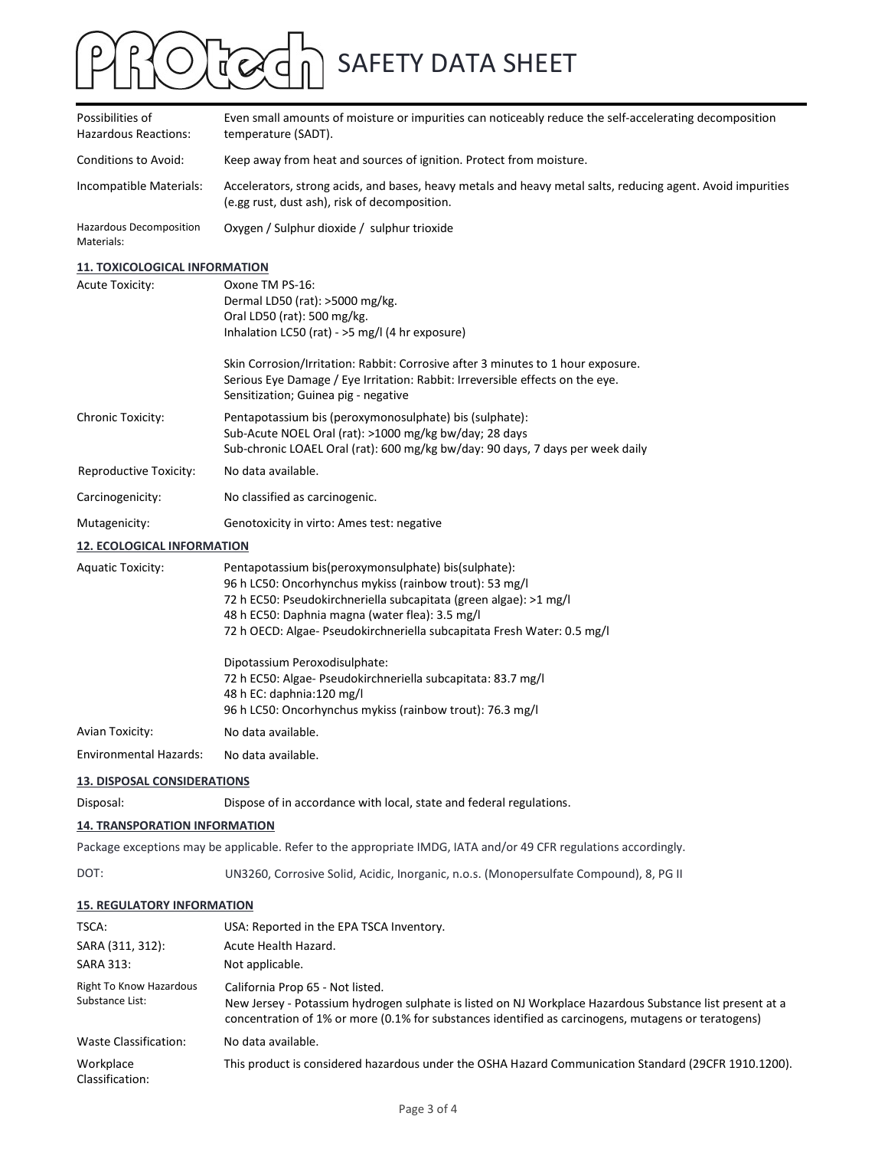## ROCOCh SAFETY DATA SHEET  $\mathsf{P}$

| Possibilities of<br>Hazardous Reactions:                                                                                | Even small amounts of moisture or impurities can noticeably reduce the self-accelerating decomposition<br>temperature (SADT).                                                                                                                                                                                      |  |  |
|-------------------------------------------------------------------------------------------------------------------------|--------------------------------------------------------------------------------------------------------------------------------------------------------------------------------------------------------------------------------------------------------------------------------------------------------------------|--|--|
| Conditions to Avoid:                                                                                                    | Keep away from heat and sources of ignition. Protect from moisture.                                                                                                                                                                                                                                                |  |  |
| Incompatible Materials:                                                                                                 | Accelerators, strong acids, and bases, heavy metals and heavy metal salts, reducing agent. Avoid impurities<br>(e.gg rust, dust ash), risk of decomposition.                                                                                                                                                       |  |  |
| Hazardous Decomposition<br>Materials:                                                                                   | Oxygen / Sulphur dioxide / sulphur trioxide                                                                                                                                                                                                                                                                        |  |  |
| <b>11. TOXICOLOGICAL INFORMATION</b>                                                                                    |                                                                                                                                                                                                                                                                                                                    |  |  |
| <b>Acute Toxicity:</b>                                                                                                  | Oxone TM PS-16:<br>Dermal LD50 (rat): >5000 mg/kg.<br>Oral LD50 (rat): 500 mg/kg.<br>Inhalation LC50 (rat) - >5 mg/l (4 hr exposure)                                                                                                                                                                               |  |  |
|                                                                                                                         | Skin Corrosion/Irritation: Rabbit: Corrosive after 3 minutes to 1 hour exposure.<br>Serious Eye Damage / Eye Irritation: Rabbit: Irreversible effects on the eye.<br>Sensitization; Guinea pig - negative                                                                                                          |  |  |
| Chronic Toxicity:                                                                                                       | Pentapotassium bis (peroxymonosulphate) bis (sulphate):<br>Sub-Acute NOEL Oral (rat): >1000 mg/kg bw/day; 28 days<br>Sub-chronic LOAEL Oral (rat): 600 mg/kg bw/day: 90 days, 7 days per week daily                                                                                                                |  |  |
| Reproductive Toxicity:                                                                                                  | No data available.                                                                                                                                                                                                                                                                                                 |  |  |
| Carcinogenicity:                                                                                                        | No classified as carcinogenic.                                                                                                                                                                                                                                                                                     |  |  |
| Mutagenicity:                                                                                                           | Genotoxicity in virto: Ames test: negative                                                                                                                                                                                                                                                                         |  |  |
| <b>12. ECOLOGICAL INFORMATION</b>                                                                                       |                                                                                                                                                                                                                                                                                                                    |  |  |
| <b>Aquatic Toxicity:</b>                                                                                                | Pentapotassium bis(peroxymonsulphate) bis(sulphate):<br>96 h LC50: Oncorhynchus mykiss (rainbow trout): 53 mg/l<br>72 h EC50: Pseudokirchneriella subcapitata (green algae): >1 mg/l<br>48 h EC50: Daphnia magna (water flea): 3.5 mg/l<br>72 h OECD: Algae- Pseudokirchneriella subcapitata Fresh Water: 0.5 mg/l |  |  |
|                                                                                                                         | Dipotassium Peroxodisulphate:<br>72 h EC50: Algae- Pseudokirchneriella subcapitata: 83.7 mg/l<br>48 h EC: daphnia:120 mg/l<br>96 h LC50: Oncorhynchus mykiss (rainbow trout): 76.3 mg/l                                                                                                                            |  |  |
| Avian Toxicity:                                                                                                         | No data available.                                                                                                                                                                                                                                                                                                 |  |  |
| Environmental Hazards:                                                                                                  | No data available.                                                                                                                                                                                                                                                                                                 |  |  |
| <b>13. DISPOSAL CONSIDERATIONS</b>                                                                                      |                                                                                                                                                                                                                                                                                                                    |  |  |
| Disposal:                                                                                                               | Dispose of in accordance with local, state and federal regulations.                                                                                                                                                                                                                                                |  |  |
| <b>14. TRANSPORATION INFORMATION</b>                                                                                    |                                                                                                                                                                                                                                                                                                                    |  |  |
|                                                                                                                         | Package exceptions may be applicable. Refer to the appropriate IMDG, IATA and/or 49 CFR regulations accordingly.                                                                                                                                                                                                   |  |  |
| DOT:                                                                                                                    | UN3260, Corrosive Solid, Acidic, Inorganic, n.o.s. (Monopersulfate Compound), 8, PG II                                                                                                                                                                                                                             |  |  |
| <b>15. REGULATORY INFORMATION</b>                                                                                       |                                                                                                                                                                                                                                                                                                                    |  |  |
| TSCA:                                                                                                                   | USA: Reported in the EPA TSCA Inventory.                                                                                                                                                                                                                                                                           |  |  |
| SARA (311, 312):                                                                                                        | Acute Health Hazard.<br>Not applicable.                                                                                                                                                                                                                                                                            |  |  |
|                                                                                                                         | California Prop 65 - Not listed.<br>New Jersey - Potassium hydrogen sulphate is listed on NJ Workplace Hazardous Substance list present at a<br>concentration of 1% or more (0.1% for substances identified as carcinogens, mutagens or teratogens)                                                                |  |  |
|                                                                                                                         |                                                                                                                                                                                                                                                                                                                    |  |  |
|                                                                                                                         | No data available.                                                                                                                                                                                                                                                                                                 |  |  |
| SARA 313:<br><b>Right To Know Hazardous</b><br>Substance List:<br>Waste Classification:<br>Workplace<br>Classification: | This product is considered hazardous under the OSHA Hazard Communication Standard (29CFR 1910.1200).                                                                                                                                                                                                               |  |  |